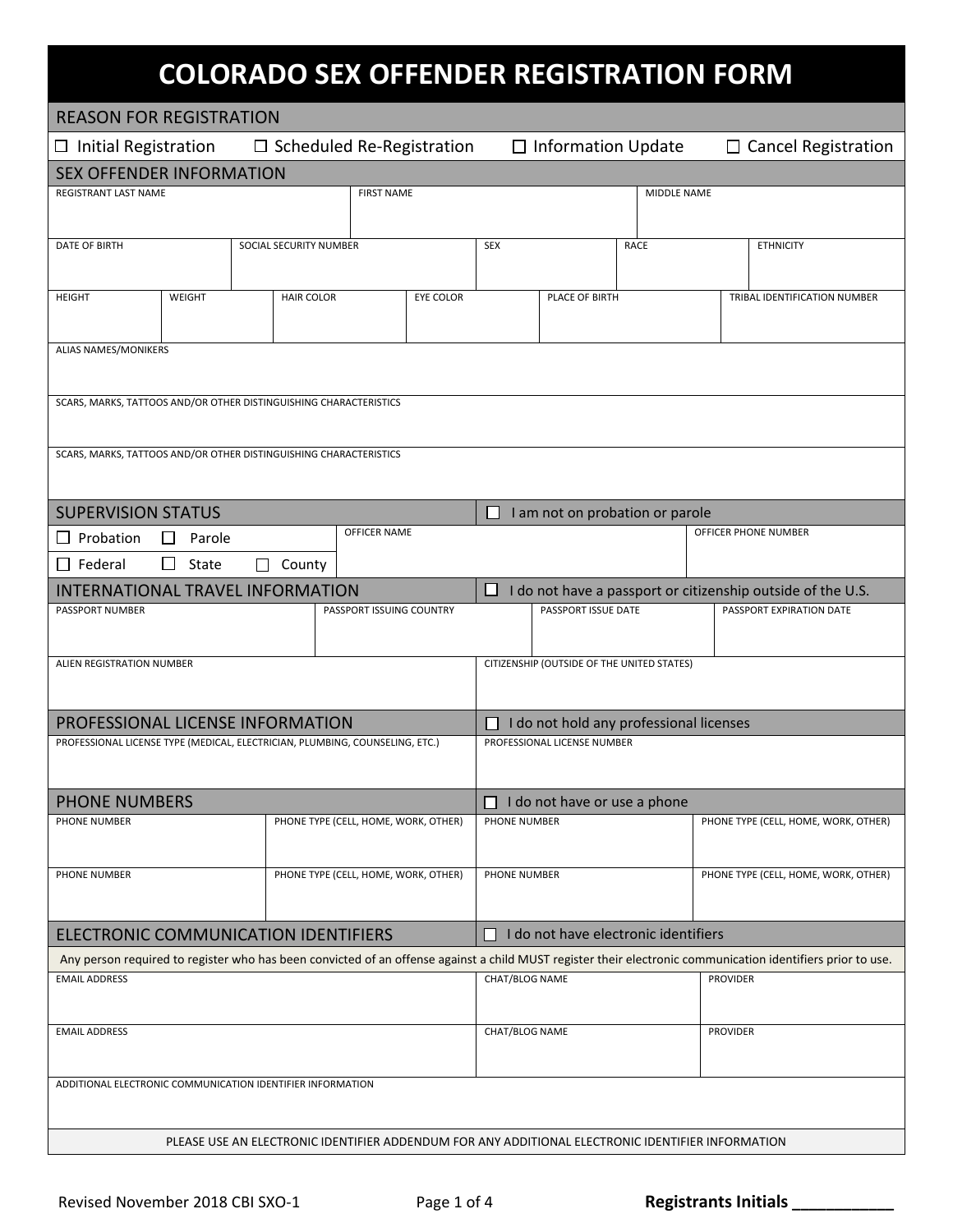## **COLORADO SEX OFFENDER REGISTRATION FORM**

| <b>REASON FOR REGISTRATION</b>                                                                                             |                                                                                                                                                             |                                                                                                   |                                                                  |                             |                                            |                                      |                                      |  |  |
|----------------------------------------------------------------------------------------------------------------------------|-------------------------------------------------------------------------------------------------------------------------------------------------------------|---------------------------------------------------------------------------------------------------|------------------------------------------------------------------|-----------------------------|--------------------------------------------|--------------------------------------|--------------------------------------|--|--|
| $\Box$ Initial Registration<br>$\Box$ Scheduled Re-Registration<br>$\Box$ Information Update<br>$\Box$ Cancel Registration |                                                                                                                                                             |                                                                                                   |                                                                  |                             |                                            |                                      |                                      |  |  |
| <b>SEX OFFENDER INFORMATION</b><br><b>FIRST NAME</b>                                                                       |                                                                                                                                                             |                                                                                                   |                                                                  |                             |                                            |                                      |                                      |  |  |
| REGISTRANT LAST NAME                                                                                                       |                                                                                                                                                             |                                                                                                   | MIDDLE NAME                                                      |                             |                                            |                                      |                                      |  |  |
|                                                                                                                            |                                                                                                                                                             |                                                                                                   |                                                                  |                             |                                            |                                      |                                      |  |  |
| <b>DATE OF BIRTH</b>                                                                                                       | SOCIAL SECURITY NUMBER                                                                                                                                      |                                                                                                   | <b>SEX</b><br>RACE                                               |                             |                                            |                                      | <b>ETHNICITY</b>                     |  |  |
|                                                                                                                            |                                                                                                                                                             |                                                                                                   |                                                                  |                             |                                            |                                      |                                      |  |  |
| WEIGHT<br><b>HEIGHT</b>                                                                                                    | <b>HAIR COLOR</b>                                                                                                                                           | EYE COLOR                                                                                         |                                                                  | PLACE OF BIRTH              |                                            |                                      | TRIBAL IDENTIFICATION NUMBER         |  |  |
|                                                                                                                            |                                                                                                                                                             |                                                                                                   |                                                                  |                             |                                            |                                      |                                      |  |  |
| ALIAS NAMES/MONIKERS                                                                                                       |                                                                                                                                                             |                                                                                                   |                                                                  |                             |                                            |                                      |                                      |  |  |
|                                                                                                                            |                                                                                                                                                             |                                                                                                   |                                                                  |                             |                                            |                                      |                                      |  |  |
| SCARS, MARKS, TATTOOS AND/OR OTHER DISTINGUISHING CHARACTERISTICS                                                          |                                                                                                                                                             |                                                                                                   |                                                                  |                             |                                            |                                      |                                      |  |  |
|                                                                                                                            |                                                                                                                                                             |                                                                                                   |                                                                  |                             |                                            |                                      |                                      |  |  |
| SCARS, MARKS, TATTOOS AND/OR OTHER DISTINGUISHING CHARACTERISTICS                                                          |                                                                                                                                                             |                                                                                                   |                                                                  |                             |                                            |                                      |                                      |  |  |
|                                                                                                                            |                                                                                                                                                             |                                                                                                   |                                                                  |                             |                                            |                                      |                                      |  |  |
| <b>SUPERVISION STATUS</b>                                                                                                  |                                                                                                                                                             |                                                                                                   |                                                                  |                             | I am not on probation or parole            |                                      |                                      |  |  |
| Probation<br>П<br>Parole                                                                                                   |                                                                                                                                                             | OFFICER NAME                                                                                      |                                                                  |                             |                                            |                                      | OFFICER PHONE NUMBER                 |  |  |
| $\Box$<br>$\Box$ Federal<br>State                                                                                          | $\Box$ County                                                                                                                                               |                                                                                                   |                                                                  |                             |                                            |                                      |                                      |  |  |
| INTERNATIONAL TRAVEL INFORMATION                                                                                           |                                                                                                                                                             |                                                                                                   | I do not have a passport or citizenship outside of the U.S.<br>ப |                             |                                            |                                      |                                      |  |  |
| PASSPORT NUMBER                                                                                                            |                                                                                                                                                             | PASSPORT ISSUING COUNTRY                                                                          | PASSPORT ISSUE DATE<br>PASSPORT EXPIRATION DATE                  |                             |                                            |                                      |                                      |  |  |
|                                                                                                                            |                                                                                                                                                             |                                                                                                   |                                                                  |                             |                                            |                                      |                                      |  |  |
| ALIEN REGISTRATION NUMBER                                                                                                  |                                                                                                                                                             |                                                                                                   |                                                                  |                             | CITIZENSHIP (OUTSIDE OF THE UNITED STATES) |                                      |                                      |  |  |
|                                                                                                                            |                                                                                                                                                             |                                                                                                   |                                                                  |                             |                                            |                                      |                                      |  |  |
|                                                                                                                            |                                                                                                                                                             |                                                                                                   |                                                                  |                             |                                            |                                      |                                      |  |  |
| PROFESSIONAL LICENSE INFORMATION<br>PROFESSIONAL LICENSE TYPE (MEDICAL, ELECTRICIAN, PLUMBING, COUNSELING, ETC.)           |                                                                                                                                                             |                                                                                                   |                                                                  | PROFESSIONAL LICENSE NUMBER | I do not hold any professional licenses    |                                      |                                      |  |  |
|                                                                                                                            |                                                                                                                                                             |                                                                                                   |                                                                  |                             |                                            |                                      |                                      |  |  |
|                                                                                                                            |                                                                                                                                                             |                                                                                                   |                                                                  |                             |                                            |                                      |                                      |  |  |
| <b>PHONE NUMBERS</b>                                                                                                       |                                                                                                                                                             | PHONE NUMBER                                                                                      | $\Box$ I do not have or use a phone                              |                             |                                            | PHONE TYPE (CELL, HOME, WORK, OTHER) |                                      |  |  |
|                                                                                                                            | PHONE TYPE (CELL, HOME, WORK, OTHER)<br>PHONE NUMBER                                                                                                        |                                                                                                   |                                                                  |                             |                                            |                                      |                                      |  |  |
|                                                                                                                            |                                                                                                                                                             |                                                                                                   |                                                                  |                             |                                            |                                      |                                      |  |  |
| PHONE NUMBER                                                                                                               |                                                                                                                                                             | PHONE TYPE (CELL, HOME, WORK, OTHER)                                                              | <b>PHONE NUMBER</b>                                              |                             |                                            |                                      | PHONE TYPE (CELL, HOME, WORK, OTHER) |  |  |
|                                                                                                                            |                                                                                                                                                             |                                                                                                   |                                                                  |                             |                                            |                                      |                                      |  |  |
| ELECTRONIC COMMUNICATION IDENTIFIERS                                                                                       |                                                                                                                                                             |                                                                                                   | $\Box$ I do not have electronic identifiers                      |                             |                                            |                                      |                                      |  |  |
|                                                                                                                            | Any person required to register who has been convicted of an offense against a child MUST register their electronic communication identifiers prior to use. |                                                                                                   |                                                                  |                             |                                            |                                      |                                      |  |  |
| <b>EMAIL ADDRESS</b>                                                                                                       |                                                                                                                                                             |                                                                                                   | CHAT/BLOG NAME                                                   |                             |                                            | <b>PROVIDER</b>                      |                                      |  |  |
|                                                                                                                            |                                                                                                                                                             |                                                                                                   |                                                                  |                             |                                            |                                      |                                      |  |  |
| <b>EMAIL ADDRESS</b>                                                                                                       |                                                                                                                                                             | CHAT/BLOG NAME<br><b>PROVIDER</b>                                                                 |                                                                  |                             |                                            |                                      |                                      |  |  |
|                                                                                                                            |                                                                                                                                                             |                                                                                                   |                                                                  |                             |                                            |                                      |                                      |  |  |
| ADDITIONAL ELECTRONIC COMMUNICATION IDENTIFIER INFORMATION                                                                 |                                                                                                                                                             |                                                                                                   |                                                                  |                             |                                            |                                      |                                      |  |  |
|                                                                                                                            |                                                                                                                                                             |                                                                                                   |                                                                  |                             |                                            |                                      |                                      |  |  |
|                                                                                                                            |                                                                                                                                                             | PLEASE USE AN ELECTRONIC IDENTIFIER ADDENDUM FOR ANY ADDITIONAL ELECTRONIC IDENTIFIER INFORMATION |                                                                  |                             |                                            |                                      |                                      |  |  |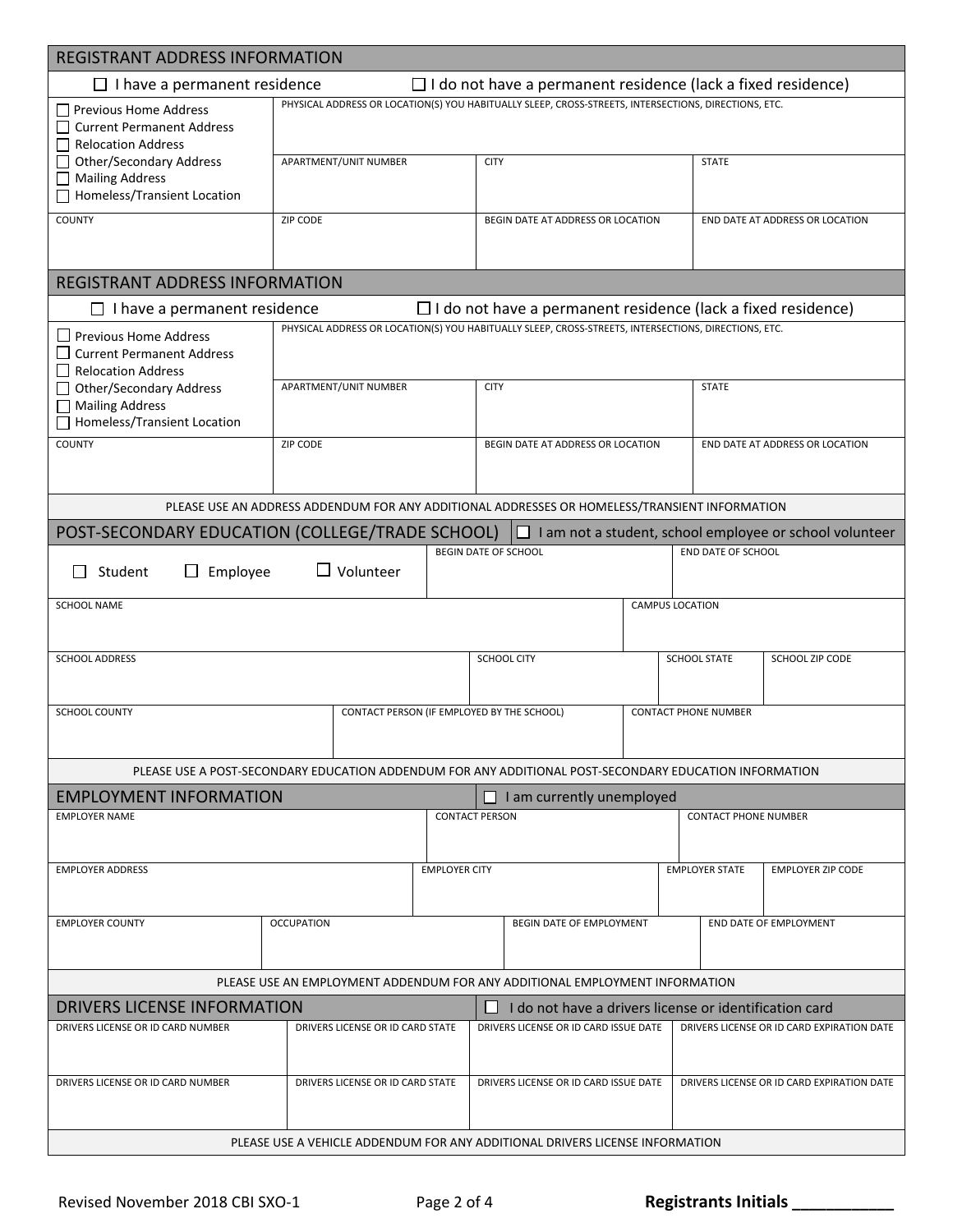| <b>REGISTRANT ADDRESS INFORMATION</b>                                                                                         |                                                                                                        |                      |                                                                     |                       |                                            |                                                                                                      |  |  |  |
|-------------------------------------------------------------------------------------------------------------------------------|--------------------------------------------------------------------------------------------------------|----------------------|---------------------------------------------------------------------|-----------------------|--------------------------------------------|------------------------------------------------------------------------------------------------------|--|--|--|
| $\Box$ I do not have a permanent residence (lack a fixed residence)<br>$\Box$ I have a permanent residence                    |                                                                                                        |                      |                                                                     |                       |                                            |                                                                                                      |  |  |  |
| PHYSICAL ADDRESS OR LOCATION(S) YOU HABITUALLY SLEEP, CROSS-STREETS, INTERSECTIONS, DIRECTIONS, ETC.<br>Previous Home Address |                                                                                                        |                      |                                                                     |                       |                                            |                                                                                                      |  |  |  |
| <b>Current Permanent Address</b>                                                                                              |                                                                                                        |                      |                                                                     |                       |                                            |                                                                                                      |  |  |  |
| <b>Relocation Address</b><br><b>Other/Secondary Address</b>                                                                   | APARTMENT/UNIT NUMBER                                                                                  |                      | <b>CITY</b>                                                         |                       | <b>STATE</b>                               |                                                                                                      |  |  |  |
| <b>Mailing Address</b><br>$\mathsf{L}$                                                                                        |                                                                                                        |                      |                                                                     |                       |                                            |                                                                                                      |  |  |  |
| Homeless/Transient Location                                                                                                   |                                                                                                        |                      |                                                                     |                       |                                            |                                                                                                      |  |  |  |
| <b>COUNTY</b>                                                                                                                 | ZIP CODE                                                                                               |                      | BEGIN DATE AT ADDRESS OR LOCATION                                   |                       |                                            | END DATE AT ADDRESS OR LOCATION                                                                      |  |  |  |
|                                                                                                                               |                                                                                                        |                      |                                                                     |                       |                                            |                                                                                                      |  |  |  |
|                                                                                                                               |                                                                                                        |                      |                                                                     |                       |                                            |                                                                                                      |  |  |  |
| <b>REGISTRANT ADDRESS INFORMATION</b>                                                                                         |                                                                                                        |                      |                                                                     |                       |                                            |                                                                                                      |  |  |  |
| $\Box$ I have a permanent residence                                                                                           | PHYSICAL ADDRESS OR LOCATION(S) YOU HABITUALLY SLEEP, CROSS-STREETS, INTERSECTIONS, DIRECTIONS, ETC.   |                      | $\Box$ I do not have a permanent residence (lack a fixed residence) |                       |                                            |                                                                                                      |  |  |  |
| $\Box$ Previous Home Address<br><b>Current Permanent Address</b>                                                              |                                                                                                        |                      |                                                                     |                       |                                            |                                                                                                      |  |  |  |
| <b>Relocation Address</b>                                                                                                     |                                                                                                        |                      |                                                                     |                       |                                            |                                                                                                      |  |  |  |
| <b>Other/Secondary Address</b>                                                                                                | APARTMENT/UNIT NUMBER                                                                                  |                      | <b>CITY</b>                                                         |                       | <b>STATE</b>                               |                                                                                                      |  |  |  |
| <b>Mailing Address</b><br>Homeless/Transient Location                                                                         |                                                                                                        |                      |                                                                     |                       |                                            |                                                                                                      |  |  |  |
| <b>COUNTY</b>                                                                                                                 | <b>ZIP CODE</b>                                                                                        |                      | BEGIN DATE AT ADDRESS OR LOCATION                                   |                       |                                            | END DATE AT ADDRESS OR LOCATION                                                                      |  |  |  |
|                                                                                                                               |                                                                                                        |                      |                                                                     |                       |                                            |                                                                                                      |  |  |  |
|                                                                                                                               |                                                                                                        |                      |                                                                     |                       |                                            |                                                                                                      |  |  |  |
|                                                                                                                               | PLEASE USE AN ADDRESS ADDENDUM FOR ANY ADDITIONAL ADDRESSES OR HOMELESS/TRANSIENT INFORMATION          |                      |                                                                     |                       |                                            |                                                                                                      |  |  |  |
| POST-SECONDARY EDUCATION (COLLEGE/TRADE SCHOOL)                                                                               |                                                                                                        |                      | H                                                                   |                       |                                            | I am not a student, school employee or school volunteer                                              |  |  |  |
| <b>BEGIN DATE OF SCHOOL</b><br><b>END DATE OF SCHOOL</b><br>$\Box$ Volunteer<br>Employee<br>Student<br>$\perp$                |                                                                                                        |                      |                                                                     |                       |                                            |                                                                                                      |  |  |  |
| <b>SCHOOL NAME</b>                                                                                                            |                                                                                                        |                      | <b>CAMPUS LOCATION</b>                                              |                       |                                            |                                                                                                      |  |  |  |
|                                                                                                                               |                                                                                                        |                      |                                                                     |                       |                                            |                                                                                                      |  |  |  |
| <b>SCHOOL ADDRESS</b>                                                                                                         |                                                                                                        |                      | <b>SCHOOL CITY</b>                                                  |                       | <b>SCHOOL STATE</b>                        | SCHOOL ZIP CODE                                                                                      |  |  |  |
|                                                                                                                               |                                                                                                        |                      |                                                                     |                       |                                            |                                                                                                      |  |  |  |
|                                                                                                                               |                                                                                                        |                      |                                                                     |                       |                                            |                                                                                                      |  |  |  |
| <b>SCHOOL COUNTY</b>                                                                                                          |                                                                                                        |                      | CONTACT PERSON (IF EMPLOYED BY THE SCHOOL)                          |                       | <b>CONTACT PHONE NUMBER</b>                |                                                                                                      |  |  |  |
|                                                                                                                               |                                                                                                        |                      |                                                                     |                       |                                            |                                                                                                      |  |  |  |
|                                                                                                                               | PLEASE USE A POST-SECONDARY EDUCATION ADDENDUM FOR ANY ADDITIONAL POST-SECONDARY EDUCATION INFORMATION |                      |                                                                     |                       |                                            |                                                                                                      |  |  |  |
| <b>EMPLOYMENT INFORMATION</b>                                                                                                 |                                                                                                        |                      | $\Box$ I am currently unemployed                                    |                       |                                            |                                                                                                      |  |  |  |
| <b>EMPLOYER NAME</b>                                                                                                          |                                                                                                        |                      | <b>CONTACT PERSON</b>                                               |                       | <b>CONTACT PHONE NUMBER</b>                |                                                                                                      |  |  |  |
|                                                                                                                               |                                                                                                        |                      |                                                                     |                       |                                            |                                                                                                      |  |  |  |
| <b>EMPLOYER ADDRESS</b>                                                                                                       |                                                                                                        | <b>EMPLOYER CITY</b> |                                                                     | <b>EMPLOYER STATE</b> |                                            | <b>EMPLOYER ZIP CODE</b>                                                                             |  |  |  |
|                                                                                                                               |                                                                                                        |                      |                                                                     |                       |                                            |                                                                                                      |  |  |  |
| <b>EMPLOYER COUNTY</b>                                                                                                        | <b>OCCUPATION</b>                                                                                      |                      | BEGIN DATE OF EMPLOYMENT                                            |                       |                                            | END DATE OF EMPLOYMENT                                                                               |  |  |  |
|                                                                                                                               |                                                                                                        |                      |                                                                     |                       |                                            |                                                                                                      |  |  |  |
|                                                                                                                               |                                                                                                        |                      |                                                                     |                       |                                            |                                                                                                      |  |  |  |
| PLEASE USE AN EMPLOYMENT ADDENDUM FOR ANY ADDITIONAL EMPLOYMENT INFORMATION                                                   |                                                                                                        |                      |                                                                     |                       |                                            |                                                                                                      |  |  |  |
| DRIVERS LICENSE INFORMATION<br>DRIVERS LICENSE OR ID CARD NUMBER                                                              | DRIVERS LICENSE OR ID CARD STATE                                                                       |                      | ш<br>DRIVERS LICENSE OR ID CARD ISSUE DATE                          |                       |                                            | I do not have a drivers license or identification card<br>DRIVERS LICENSE OR ID CARD EXPIRATION DATE |  |  |  |
|                                                                                                                               |                                                                                                        |                      |                                                                     |                       |                                            |                                                                                                      |  |  |  |
|                                                                                                                               |                                                                                                        |                      |                                                                     |                       |                                            |                                                                                                      |  |  |  |
| DRIVERS LICENSE OR ID CARD NUMBER                                                                                             | DRIVERS LICENSE OR ID CARD STATE                                                                       |                      | DRIVERS LICENSE OR ID CARD ISSUE DATE                               |                       | DRIVERS LICENSE OR ID CARD EXPIRATION DATE |                                                                                                      |  |  |  |
|                                                                                                                               |                                                                                                        |                      |                                                                     |                       |                                            |                                                                                                      |  |  |  |
|                                                                                                                               | PLEASE USE A VEHICLE ADDENDUM FOR ANY ADDITIONAL DRIVERS LICENSE INFORMATION                           |                      |                                                                     |                       |                                            |                                                                                                      |  |  |  |
|                                                                                                                               |                                                                                                        |                      |                                                                     |                       |                                            |                                                                                                      |  |  |  |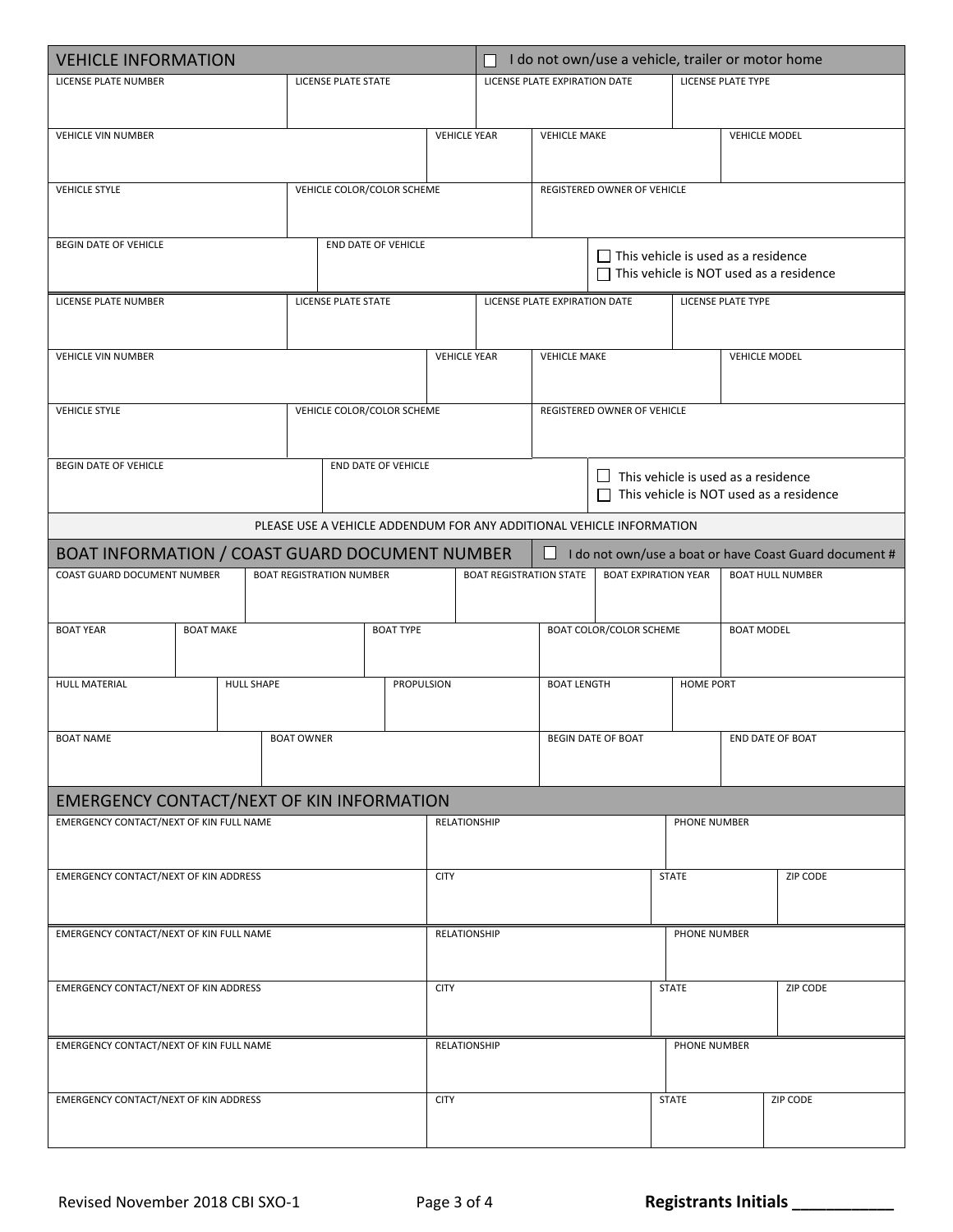| <b>VEHICLE INFORMATION</b>                       |                                      |  |                   |                                 |                     | I do not own/use a vehicle, trailer or motor home<br>П |                                                    |                                                                                              |                                                                      |                          |                                            |                                                        |  |
|--------------------------------------------------|--------------------------------------|--|-------------------|---------------------------------|---------------------|--------------------------------------------------------|----------------------------------------------------|----------------------------------------------------------------------------------------------|----------------------------------------------------------------------|--------------------------|--------------------------------------------|--------------------------------------------------------|--|
| LICENSE PLATE NUMBER                             |                                      |  |                   | LICENSE PLATE STATE             |                     |                                                        |                                                    | LICENSE PLATE EXPIRATION DATE                                                                |                                                                      |                          | <b>LICENSE PLATE TYPE</b>                  |                                                        |  |
|                                                  |                                      |  |                   |                                 |                     |                                                        |                                                    |                                                                                              |                                                                      |                          |                                            |                                                        |  |
| <b>VEHICLE VIN NUMBER</b>                        |                                      |  |                   | <b>VEHICLE YEAR</b>             |                     | <b>VEHICLE MAKE</b>                                    |                                                    |                                                                                              |                                                                      | <b>VEHICLE MODEL</b>     |                                            |                                                        |  |
|                                                  |                                      |  |                   |                                 |                     |                                                        |                                                    |                                                                                              |                                                                      |                          |                                            |                                                        |  |
| <b>VEHICLE STYLE</b>                             | VEHICLE COLOR/COLOR SCHEME           |  |                   |                                 |                     |                                                        |                                                    | REGISTERED OWNER OF VEHICLE                                                                  |                                                                      |                          |                                            |                                                        |  |
|                                                  |                                      |  |                   |                                 |                     |                                                        |                                                    |                                                                                              |                                                                      |                          |                                            |                                                        |  |
| <b>BEGIN DATE OF VEHICLE</b>                     |                                      |  |                   | END DATE OF VEHICLE             |                     |                                                        |                                                    |                                                                                              |                                                                      |                          |                                            |                                                        |  |
|                                                  |                                      |  |                   |                                 |                     |                                                        |                                                    | $\Box$ This vehicle is used as a residence<br>$\Box$ This vehicle is NOT used as a residence |                                                                      |                          |                                            |                                                        |  |
| LICENSE PLATE NUMBER                             |                                      |  |                   | LICENSE PLATE STATE             |                     |                                                        |                                                    | LICENSE PLATE EXPIRATION DATE                                                                |                                                                      |                          | LICENSE PLATE TYPE                         |                                                        |  |
|                                                  |                                      |  |                   |                                 |                     |                                                        |                                                    |                                                                                              |                                                                      |                          |                                            |                                                        |  |
| <b>VEHICLE VIN NUMBER</b>                        |                                      |  |                   | <b>VEHICLE YEAR</b>             |                     |                                                        |                                                    | <b>VEHICLE MAKE</b>                                                                          |                                                                      |                          | <b>VEHICLE MODEL</b>                       |                                                        |  |
|                                                  |                                      |  |                   |                                 |                     |                                                        |                                                    |                                                                                              |                                                                      |                          |                                            |                                                        |  |
| <b>VEHICLE STYLE</b>                             |                                      |  |                   |                                 |                     |                                                        |                                                    |                                                                                              | REGISTERED OWNER OF VEHICLE                                          |                          |                                            |                                                        |  |
|                                                  |                                      |  |                   | VEHICLE COLOR/COLOR SCHEME      |                     |                                                        |                                                    |                                                                                              |                                                                      |                          |                                            |                                                        |  |
| BEGIN DATE OF VEHICLE                            |                                      |  |                   |                                 | END DATE OF VEHICLE |                                                        |                                                    |                                                                                              |                                                                      |                          |                                            |                                                        |  |
|                                                  |                                      |  |                   |                                 |                     |                                                        |                                                    |                                                                                              |                                                                      |                          | $\Box$ This vehicle is used as a residence |                                                        |  |
|                                                  |                                      |  |                   |                                 |                     |                                                        | This vehicle is NOT used as a residence<br>$\perp$ |                                                                                              |                                                                      |                          |                                            |                                                        |  |
|                                                  |                                      |  |                   |                                 |                     |                                                        |                                                    |                                                                                              | PLEASE USE A VEHICLE ADDENDUM FOR ANY ADDITIONAL VEHICLE INFORMATION |                          |                                            |                                                        |  |
| BOAT INFORMATION / COAST GUARD DOCUMENT NUMBER   |                                      |  |                   |                                 |                     |                                                        |                                                    | ப                                                                                            |                                                                      |                          |                                            | I do not own/use a boat or have Coast Guard document # |  |
| COAST GUARD DOCUMENT NUMBER                      |                                      |  |                   | <b>BOAT REGISTRATION NUMBER</b> |                     |                                                        | <b>BOAT REGISTRATION STATE</b>                     |                                                                                              | <b>BOAT EXPIRATION YEAR</b>                                          |                          |                                            | <b>BOAT HULL NUMBER</b>                                |  |
|                                                  |                                      |  |                   |                                 |                     |                                                        |                                                    |                                                                                              |                                                                      |                          |                                            |                                                        |  |
|                                                  | <b>BOAT YEAR</b><br><b>BOAT MAKE</b> |  | <b>BOAT TYPE</b>  |                                 |                     | <b>BOAT COLOR/COLOR SCHEME</b>                         |                                                    |                                                                                              | <b>BOAT MODEL</b>                                                    |                          |                                            |                                                        |  |
|                                                  |                                      |  |                   |                                 |                     |                                                        |                                                    |                                                                                              |                                                                      |                          |                                            |                                                        |  |
| HULL MATERIAL                                    | <b>HULL SHAPE</b>                    |  | PROPULSION        |                                 |                     | <b>BOAT LENGTH</b>                                     |                                                    | <b>HOME PORT</b>                                                                             |                                                                      |                          |                                            |                                                        |  |
|                                                  |                                      |  |                   |                                 |                     |                                                        |                                                    |                                                                                              |                                                                      |                          |                                            |                                                        |  |
| <b>BOAT NAME</b>                                 |                                      |  | <b>BOAT OWNER</b> |                                 |                     |                                                        |                                                    | <b>BEGIN DATE OF BOAT</b>                                                                    |                                                                      |                          | END DATE OF BOAT                           |                                                        |  |
|                                                  |                                      |  |                   |                                 |                     |                                                        |                                                    |                                                                                              |                                                                      |                          |                                            |                                                        |  |
| <b>EMERGENCY CONTACT/NEXT OF KIN INFORMATION</b> |                                      |  |                   |                                 |                     |                                                        |                                                    |                                                                                              |                                                                      |                          |                                            |                                                        |  |
| EMERGENCY CONTACT/NEXT OF KIN FULL NAME          |                                      |  |                   |                                 |                     | RELATIONSHIP                                           |                                                    |                                                                                              |                                                                      | PHONE NUMBER             |                                            |                                                        |  |
|                                                  |                                      |  |                   |                                 |                     |                                                        |                                                    |                                                                                              |                                                                      |                          |                                            |                                                        |  |
| <b>EMERGENCY CONTACT/NEXT OF KIN ADDRESS</b>     |                                      |  |                   |                                 |                     | <b>CITY</b>                                            |                                                    |                                                                                              |                                                                      | <b>STATE</b>             |                                            | ZIP CODE                                               |  |
|                                                  |                                      |  |                   |                                 |                     |                                                        |                                                    |                                                                                              |                                                                      |                          |                                            |                                                        |  |
| EMERGENCY CONTACT/NEXT OF KIN FULL NAME          |                                      |  |                   | RELATIONSHIP                    |                     |                                                        |                                                    | PHONE NUMBER                                                                                 |                                                                      |                          |                                            |                                                        |  |
|                                                  |                                      |  |                   |                                 |                     |                                                        |                                                    |                                                                                              |                                                                      |                          |                                            |                                                        |  |
| EMERGENCY CONTACT/NEXT OF KIN ADDRESS            |                                      |  | <b>CITY</b>       |                                 |                     | <b>STATE</b>                                           |                                                    | <b>ZIP CODE</b>                                                                              |                                                                      |                          |                                            |                                                        |  |
|                                                  |                                      |  |                   |                                 |                     |                                                        |                                                    |                                                                                              |                                                                      |                          |                                            |                                                        |  |
| EMERGENCY CONTACT/NEXT OF KIN FULL NAME          |                                      |  | RELATIONSHIP      |                                 |                     |                                                        | PHONE NUMBER                                       |                                                                                              |                                                                      |                          |                                            |                                                        |  |
|                                                  |                                      |  |                   |                                 |                     |                                                        |                                                    |                                                                                              |                                                                      |                          |                                            |                                                        |  |
| EMERGENCY CONTACT/NEXT OF KIN ADDRESS            |                                      |  |                   |                                 |                     | <b>CITY</b>                                            |                                                    |                                                                                              |                                                                      | ZIP CODE<br><b>STATE</b> |                                            |                                                        |  |
|                                                  |                                      |  |                   |                                 |                     |                                                        |                                                    |                                                                                              |                                                                      |                          |                                            |                                                        |  |
|                                                  |                                      |  |                   |                                 |                     |                                                        |                                                    |                                                                                              |                                                                      |                          |                                            |                                                        |  |